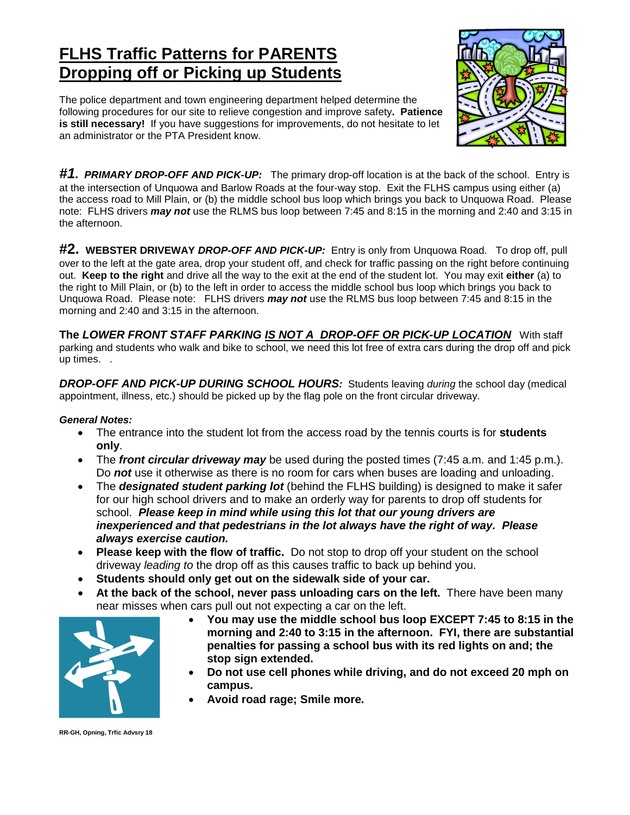## **FLHS Traffic Patterns for PARENTS Dropping off or Picking up Students**

The police department and town engineering department helped determine the following procedures for our site to relieve congestion and improve safety**. Patience is still necessary!** If you have suggestions for improvements, do not hesitate to let an administrator or the PTA President know.



*#1. PRIMARY DROP-OFF AND PICK-UP:* The primary drop-off location is at the back of the school. Entry is at the intersection of Unquowa and Barlow Roads at the four-way stop. Exit the FLHS campus using either (a) the access road to Mill Plain, or (b) the middle school bus loop which brings you back to Unquowa Road. Please note: FLHS drivers *may not* use the RLMS bus loop between 7:45 and 8:15 in the morning and 2:40 and 3:15 in the afternoon.

**#2. WEBSTER DRIVEWAY** *DROP-OFF AND PICK-UP:* Entry is only from Unquowa Road. To drop off, pull over to the left at the gate area, drop your student off, and check for traffic passing on the right before continuing out. **Keep to the right** and drive all the way to the exit at the end of the student lot. You may exit **either** (a) to the right to Mill Plain, or (b) to the left in order to access the middle school bus loop which brings you back to Unquowa Road. Please note: FLHS drivers *may not* use the RLMS bus loop between 7:45 and 8:15 in the morning and 2:40 and 3:15 in the afternoon.

**The** *LOWER FRONT STAFF PARKING IS NOT A DROP-OFF OR PICK-UP LOCATION* With staff parking and students who walk and bike to school, we need this lot free of extra cars during the drop off and pick up times. .

*DROP-OFF AND PICK-UP DURING SCHOOL HOURS:* Students leaving *during* the school day (medical appointment, illness, etc.) should be picked up by the flag pole on the front circular driveway.

## *General Notes:*

- The entrance into the student lot from the access road by the tennis courts is for **students only**.
- The *front circular driveway may* be used during the posted times (7:45 a.m. and 1:45 p.m.). Do *not* use it otherwise as there is no room for cars when buses are loading and unloading.
- The *designated student parking lot* (behind the FLHS building) is designed to make it safer for our high school drivers and to make an orderly way for parents to drop off students for school. *Please keep in mind while using this lot that our young drivers are inexperienced and that pedestrians in the lot always have the right of way. Please always exercise caution.*
- **Please keep with the flow of traffic.** Do not stop to drop off your student on the school driveway *leading to* the drop off as this causes traffic to back up behind you.
- **Students should only get out on the sidewalk side of your car.**
- **At the back of the school, never pass unloading cars on the left.** There have been many near misses when cars pull out not expecting a car on the left.



- **You may use the middle school bus loop EXCEPT 7:45 to 8:15 in the morning and 2:40 to 3:15 in the afternoon. FYI, there are substantial penalties for passing a school bus with its red lights on and; the stop sign extended.**
- **Do not use cell phones while driving, and do not exceed 20 mph on campus.**
- **Avoid road rage; Smile more.**

**RR-GH, Opning, Trfic Advsry 18**